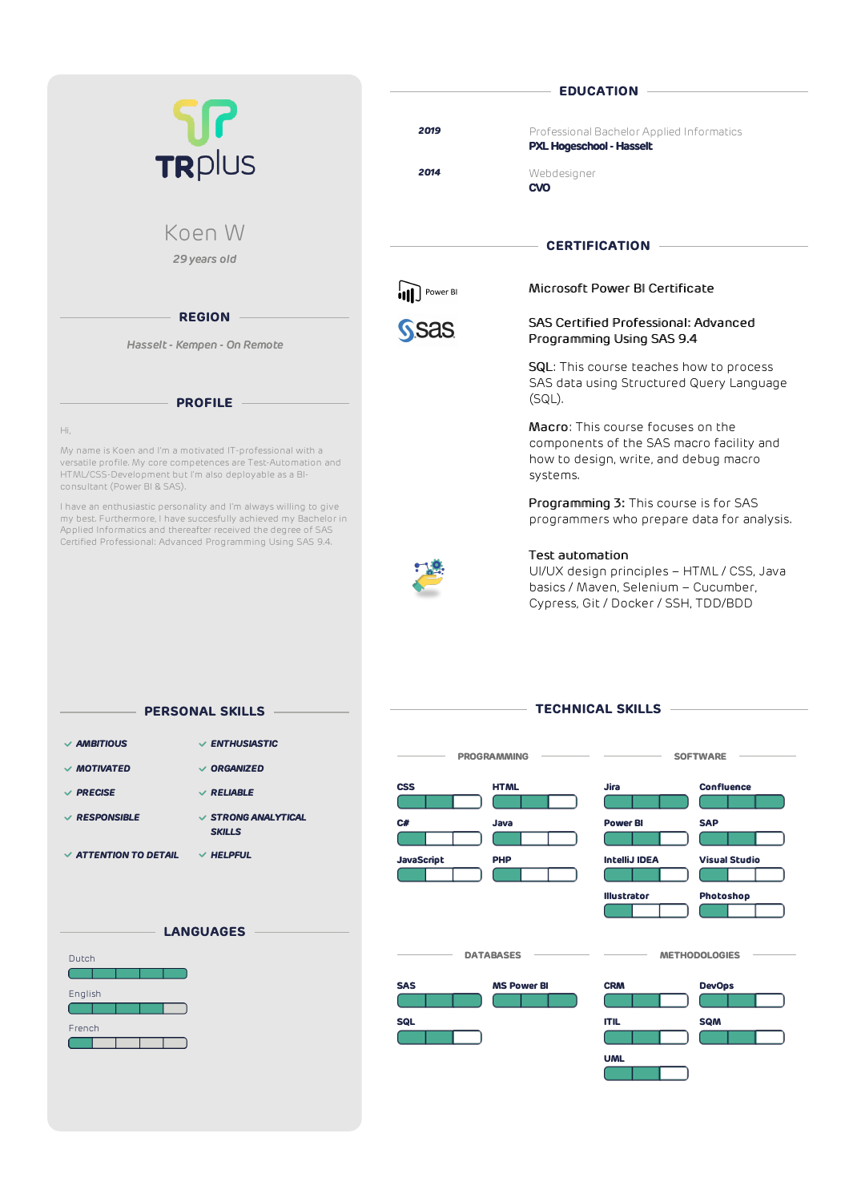| TR <sub>plus</sub>                                                                                                                                                                                                                                                    | <b>EDUCATION</b> |                                                                                                                                                      |
|-----------------------------------------------------------------------------------------------------------------------------------------------------------------------------------------------------------------------------------------------------------------------|------------------|------------------------------------------------------------------------------------------------------------------------------------------------------|
|                                                                                                                                                                                                                                                                       | 2019             | Professional Bachelor Applied Informatics<br><b>PXL Hogeschool - Hasselt</b>                                                                         |
|                                                                                                                                                                                                                                                                       | 2014             | Webdesigner<br><b>CVO</b>                                                                                                                            |
| Koen W                                                                                                                                                                                                                                                                |                  | <b>CERTIFICATION</b>                                                                                                                                 |
| 29 years old                                                                                                                                                                                                                                                          |                  |                                                                                                                                                      |
|                                                                                                                                                                                                                                                                       | Power BI         | Microsoft Power BI Certificate                                                                                                                       |
| <b>REGION</b><br>Hasselt - Kempen - On Remote                                                                                                                                                                                                                         | <b>Sas</b>       | <b>SAS Certified Professional: Advanced</b><br>Programming Using SAS 9.4                                                                             |
| <b>PROFILE</b>                                                                                                                                                                                                                                                        |                  | <b>SQL:</b> This course teaches how to process<br>SAS data using Structured Query Language<br>$(SQL)$ .                                              |
| Hi,<br>My name is Koen and I'm a motivated IT-professional with a<br>versatile profile. My core competences are Test-Automation and<br>HTML/CSS-Development but I'm also deployable as a BI-<br>consultant (Power BI & SAS).                                          |                  | <b>Macro:</b> This course focuses on the<br>components of the SAS macro facility and<br>how to design, write, and debug macro<br>systems.            |
| I have an enthusiastic personality and I'm always willing to give<br>my best. Furthermore, I have succesfully achieved my Bachelor in<br>Applied Informatics and thereafter received the degree of SAS<br>Certified Professional: Advanced Programming Using SAS 9.4. |                  | Programming 3: This course is for SAS<br>programmers who prepare data for analysis.                                                                  |
|                                                                                                                                                                                                                                                                       |                  | <b>Test automation</b><br>UI/UX design principles - HTML / CSS, Java<br>basics / Maven, Selenium - Cucumber,<br>Cypress, Git / Docker / SSH, TDD/BDD |
| <b>PERSONAL SKILLS</b>                                                                                                                                                                                                                                                |                  | <b>TECHNICAL SKILLS</b>                                                                                                                              |
| $\vee$ AMBITIOUS<br>$\vee$ ENTHUSIASTIC                                                                                                                                                                                                                               |                  | <b>PROGRAMMING</b><br><b>SOFTWARE</b>                                                                                                                |
| $\vee$ MOTIVATED<br>$\vee$ ORGANIZED                                                                                                                                                                                                                                  |                  |                                                                                                                                                      |

*MOTIVATED ORGANIZED* **Jira Confluence CSS HTML** *PRECISE RELIABLE RESPONSIBLE STRONG ANALYTICAL* **Power BI SAP C# Java** *SKILLS* **College** and the property *ATTENTION TO DETAIL HELPFUL* **IntelliJ IDEA Visual Studio JavaScript PHP** ſ т  $\overline{\phantom{a}}$ T  $\sim$   $\sim$ **Illustrator Photoshop The Co** ſ **LANGUAGES**  $\overline{\phantom{a}}$  DATABASES  $\overline{\phantom{a}}$  **METHODOLOGIES** – Dutch **SAS MS Power BI CRM DevOps** English ┑ ┱ **SQL ITIL SQM** French  $\subset$ ſ π  $\Box$ ┱ □ ┓ **UML**